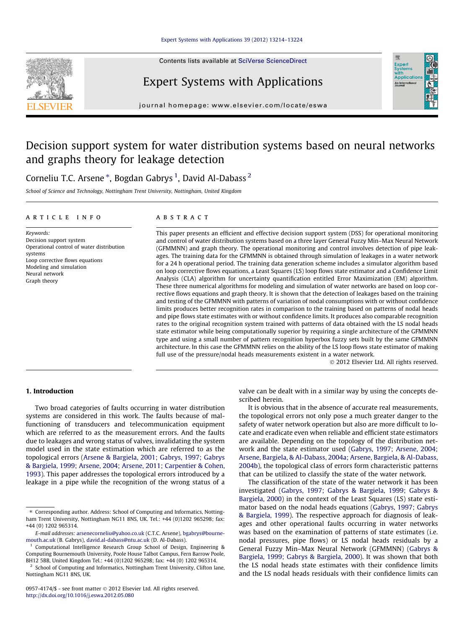Contents lists available at [SciVerse ScienceDirect](http://www.sciencedirect.com/science/journal/09574174)

## Expert Systems with Applications

journal homepage: [www.elsevier.com/locate/eswa](http://www.elsevier.com/locate/eswa)

## Decision support system for water distribution systems based on neural networks and graphs theory for leakage detection

Corneliu T.C. Arsene  $^\ast$ , Bogdan Gabrys  $^1$ , David Al-Dabass  $^2$ 

School of Science and Technology, Nottingham Trent University, Nottingham, United Kingdom

#### article info

Keywords: Decision support system Operational control of water distribution systems Loop corrective flows equations Modeling and simulation Neural network Graph theory

#### ABSTRACT

This paper presents an efficient and effective decision support system (DSS) for operational monitoring and control of water distribution systems based on a three layer General Fuzzy Min–Max Neural Network (GFMMNN) and graph theory. The operational monitoring and control involves detection of pipe leakages. The training data for the GFMMNN is obtained through simulation of leakages in a water network for a 24 h operational period. The training data generation scheme includes a simulator algorithm based on loop corrective flows equations, a Least Squares (LS) loop flows state estimator and a Confidence Limit Analysis (CLA) algorithm for uncertainty quantification entitled Error Maximization (EM) algorithm. These three numerical algorithms for modeling and simulation of water networks are based on loop corrective flows equations and graph theory. It is shown that the detection of leakages based on the training and testing of the GFMMNN with patterns of variation of nodal consumptions with or without confidence limits produces better recognition rates in comparison to the training based on patterns of nodal heads and pipe flows state estimates with or without confidence limits. It produces also comparable recognition rates to the original recognition system trained with patterns of data obtained with the LS nodal heads state estimator while being computationally superior by requiring a single architecture of the GFMMNN type and using a small number of pattern recognition hyperbox fuzzy sets built by the same GFMMNN architecture. In this case the GFMMNN relies on the ability of the LS loop flows state estimator of making full use of the pressure/nodal heads measurements existent in a water network.

- 2012 Elsevier Ltd. All rights reserved.

### 1. Introduction

Two broad categories of faults occurring in water distribution systems are considered in this work. The faults because of malfunctioning of transducers and telecommunication equipment which are referred to as the measurement errors. And the faults due to leakages and wrong status of valves, invalidating the system model used in the state estimation which are referred to as the topological errors [\(Arsene & Bargiela, 2001; Gabrys, 1997; Gabrys](#page--1-0) [& Bargiela, 1999; Arsene, 2004; Arsene, 2011; Carpentier & Cohen,](#page--1-0) [1993\)](#page--1-0). This paper addresses the topological errors introduced by a leakage in a pipe while the recognition of the wrong status of a valve can be dealt with in a similar way by using the concepts described herein.

It is obvious that in the absence of accurate real measurements, the topological errors not only pose a much greater danger to the safety of water network operation but also are more difficult to locate and eradicate even when reliable and efficient state estimators are available. Depending on the topology of the distribution network and the state estimator used [\(Gabrys, 1997; Arsene, 2004;](#page--1-0) [Arsene, Bargiela, & Al-Dabass, 2004a; Arsene, Bargiela, & Al-Dabass,](#page--1-0) [2004b](#page--1-0)), the topological class of errors form characteristic patterns that can be utilized to classify the state of the water network.

The classification of the state of the water network it has been investigated [\(Gabrys, 1997; Gabrys & Bargiela, 1999; Gabrys &](#page--1-0) [Bargiela, 2000\)](#page--1-0) in the context of the Least Squares (LS) state estimator based on the nodal heads equations ([Gabrys, 1997; Gabrys](#page--1-0) [& Bargiela, 1999](#page--1-0)). The respective approach for diagnosis of leakages and other operational faults occurring in water networks was based on the examination of patterns of state estimates (i.e. nodal pressures, pipe flows) or LS nodal heads residuals by a General Fuzzy Min–Max Neural Network (GFMMNN) ([Gabrys &](#page--1-0) [Bargiela, 1999; Gabrys & Bargiela, 2000](#page--1-0)). It was shown that both the LS nodal heads state estimates with their confidence limits and the LS nodal heads residuals with their confidence limits can





<sup>⇑</sup> Corresponding author. Address: School of Computing and Informatics, Nottingham Trent University, Nottingham NG11 8NS, UK. Tel.: +44 (0)1202 965298; fax: +44 (0) 1202 965314.

E-mail addresses: [arsenecorneliu@yahoo.co.uk](mailto:arsenecorneliu@yahoo.co.uk) (C.T.C. Arsene), [bgabrys@bourne](mailto:bgabrys@bournemouth.ac.uk)[mouth.ac.uk](mailto:bgabrys@bournemouth.ac.uk) (B. Gabrys), [david.al-dabass@ntu.ac.uk](mailto:david.al-dabass@ntu.ac.uk) (D. Al-Dabass).

<sup>&</sup>lt;sup>1</sup> Computational Intelligence Research Group School of Design, Engineering & Computing Bournemouth University, Poole House Talbot Campus, Fern Barrow Poole, BH12 5BB, United Kingdom Tel.: +44 (0)1202 965298; fax: +44 (0) 1202 965314.

<sup>&</sup>lt;sup>2</sup> School of Computing and Informatics, Nottingham Trent University, Clifton lane, Nottingham NG11 8NS, UK.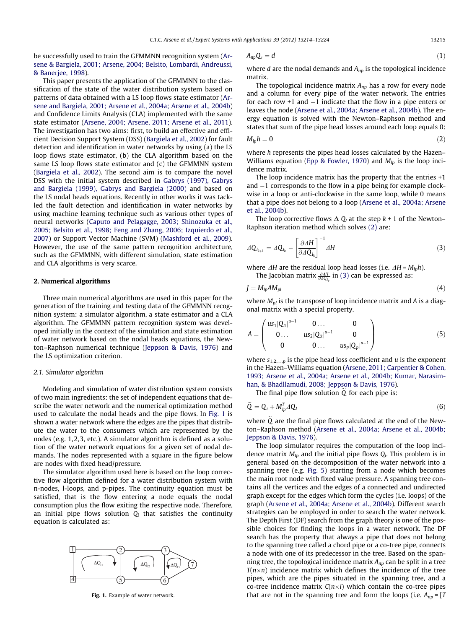be successfully used to train the GFMMNN recognition system ([Ar](#page--1-0)[sene & Bargiela, 2001; Arsene, 2004; Belsito, Lombardi, Andreussi,](#page--1-0) [& Banerjee, 1998](#page--1-0)).

This paper presents the application of the GFMMNN to the classification of the state of the water distribution system based on patterns of data obtained with a LS loop flows state estimator ([Ar](#page--1-0)[sene and Bargiela, 2001; Arsene et al., 2004a; Arsene et al., 2004b\)](#page--1-0) and Confidence Limits Analysis (CLA) implemented with the same state estimator [\(Arsene, 2004; Arsene, 2011; Arsene et al., 2011\)](#page--1-0). The investigation has two aims: first, to build an effective and efficient Decision Support System (DSS) ([Bargiela et al., 2002](#page--1-0)) for fault detection and identification in water networks by using (a) the LS loop flows state estimator, (b) the CLA algorithm based on the same LS loop flows state estimator and (c) the GFMMNN system ([Bargiela et al., 2002](#page--1-0)). The second aim is to compare the novel DSS with the initial system described in [Gabrys \(1997\), Gabrys](#page--1-0) [and Bargiela \(1999\), Gabrys and Bargiela \(2000\)](#page--1-0) and based on the LS nodal heads equations. Recently in other works it was tackled the fault detection and identification in water networks by using machine learning technique such as various other types of neural networks ([Caputo and Pelagagge, 2003; Shinozuka et al.,](#page--1-0) [2005; Belsito et al., 1998; Feng and Zhang, 2006; Izquierdo et al.,](#page--1-0) [2007](#page--1-0)) or Support Vector Machine (SVM) ([Mashford et al., 2009\)](#page--1-0). However, the use of the same pattern recognition architecture, such as the GFMMNN, with different simulation, state estimation and CLA algorithms is very scarce.

#### 2. Numerical algorithms

Three main numerical algorithms are used in this paper for the generation of the training and testing data of the GFMMNN recognition system: a simulator algorithm, a state estimator and a CLA algorithm. The GFMMNN pattern recognition system was developed initially in the context of the simulation and state estimation of water network based on the nodal heads equations, the Newton–Raphson numerical technique [\(Jeppson & Davis, 1976](#page--1-0)) and the LS optimization criterion.

#### 2.1. Simulator algorithm

Modeling and simulation of water distribution system consists of two main ingredients: the set of independent equations that describe the water network and the numerical optimization method used to calculate the nodal heads and the pipe flows. In Fig. 1 is shown a water network where the edges are the pipes that distribute the water to the consumers which are represented by the nodes (e.g. 1,2,3, etc.). A simulator algorithm is defined as a solution of the water network equations for a given set of nodal demands. The nodes represented with a square in the figure below are nodes with fixed head/pressure.

The simulator algorithm used here is based on the loop corrective flow algorithm defined for a water distribution system with n-nodes, l-loops, and p-pipes. The continuity equation must be satisfied, that is the flow entering a node equals the nodal consumption plus the flow exiting the respective node. Therefore, an initial pipe flows solution  $Q_i$  that satisfies the continuity equation is calculated as:



Fig. 1. Example of water network.

$$
A_{np}Q_i = d \tag{1}
$$

where  $d$  are the nodal demands and  $A_{np}$  is the topological incidence matrix.

The topological incidence matrix  $A_{np}$  has a row for every node and a column for every pipe of the water network. The entries for each row +1 and -1 indicate that the flow in a pipe enters or leaves the node [\(Arsene et al., 2004a; Arsene et al., 2004b](#page--1-0)). The energy equation is solved with the Newton–Raphson method and states that sum of the pipe head losses around each loop equals 0:

$$
M_{lp}h = 0 \tag{2}
$$

where h represents the pipes head losses calculated by the Hazen– Williams equation [\(Epp & Fowler, 1970\)](#page--1-0) and  $M_{lp}$  is the loop incidence matrix.

The loop incidence matrix has the property that the entries +1 and  $-1$  corresponds to the flow in a pipe being for example clockwise in a loop or anti-clockwise in the same loop, while 0 means that a pipe does not belong to a loop [\(Arsene et al., 2004a; Arsene](#page--1-0) [et al., 2004b](#page--1-0)).

The loop corrective flows  $\Delta Q_l$  at the step  $k + 1$  of the Newton– Raphson iteration method which solves (2) are:

$$
\Delta Q_{l_{k+1}} = \Delta Q_{l_k} - \left[\frac{\partial \Delta H}{\partial \Delta Q_{l_k}}\right]^{-1} \Delta H \tag{3}
$$

where  $\Delta H$  are the residual loop head losses (i.e.  $\Delta H = M_{lp}h$ ). The Jacobian matrix  $\frac{\partial AH}{\partial A \mathbf{Q}_{l_k}}$  in (3) can be expressed as:

$$
J = M_{lp} A M_{pl} \tag{4}
$$

where  $M_{pl}$  is the transpose of loop incidence matrix and A is a diagonal matrix with a special property.

$$
A = \begin{pmatrix} u s_1 |Q_1|^{u-1} & 0 \dots & 0 \\ 0 \dots & u s_2 |Q_2|^{u-1} & 0 \\ 0 & 0 \dots & u s_p |Q_p|^{u-1} \end{pmatrix}
$$
 (5)

where  $s_{1,2,\dots p}$  is the pipe head loss coefficient and u is the exponent in the Hazen–Williams equation ([Arsene, 2011; Carpentier & Cohen,](#page--1-0) [1993; Arsene et al., 2004a; Arsene et al., 2004b; Kumar, Narasim](#page--1-0)[han, & Bhadllamudi, 2008; Jeppson & Davis, 1976](#page--1-0)).

The final pipe flow solution  $\widetilde{Q}$  for each pipe is:

$$
\tilde{Q} = Q_i + M_{lp}^T A Q_l \tag{6}
$$

where  $Q$  are the final pipe flows calculated at the end of the Newton–Raphson method ([Arsene et al., 2004a; Arsene et al., 2004b;](#page--1-0) [Jeppson & Davis, 1976](#page--1-0)).

The loop simulator requires the computation of the loop incidence matrix  $M_{lp}$  and the initial pipe flows  $Q_i$ . This problem is in general based on the decomposition of the water network into a spanning tree (e.g. [Fig. 5\)](#page--1-0) starting from a node which becomes the main root node with fixed value pressure. A spanning tree contains all the vertices and the edges of a connected and undirected graph except for the edges which form the cycles (i.e. loops) of the graph ([Arsene et al., 2004a; Arsene et al., 2004b](#page--1-0)). Different search strategies can be employed in order to search the water network. The Depth First (DF) search from the graph theory is one of the possible choices for finding the loops in a water network. The DF search has the property that always a pipe that does not belong to the spanning tree called a chord pipe or a co-tree pipe, connects a node with one of its predecessor in the tree. Based on the spanning tree, the topological incidence matrix  $A_{np}$  can be split in a tree  $T(n\times n)$  incidence matrix which defines the incidence of the tree pipes, which are the pipes situated in the spanning tree, and a co-tree incidence matrix  $C(n\times l)$  which contain the co-tree pipes that are not in the spanning tree and form the loops (i.e.  $A_{nn} = [T]$